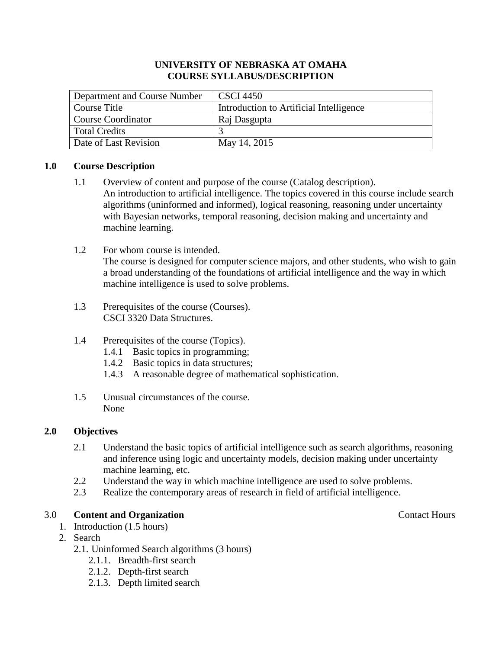### **UNIVERSITY OF NEBRASKA AT OMAHA COURSE SYLLABUS/DESCRIPTION**

| Department and Course Number | CSCI 4450                               |
|------------------------------|-----------------------------------------|
| Course Title                 | Introduction to Artificial Intelligence |
| Course Coordinator           | Raj Dasgupta                            |
| Total Credits                |                                         |
| Date of Last Revision        | May 14, 2015                            |

## **1.0 Course Description**

- 1.1 Overview of content and purpose of the course (Catalog description). An introduction to artificial intelligence. The topics covered in this course include search algorithms (uninformed and informed), logical reasoning, reasoning under uncertainty with Bayesian networks, temporal reasoning, decision making and uncertainty and machine learning.
- 1.2 For whom course is intended.

The course is designed for computer science majors, and other students, who wish to gain a broad understanding of the foundations of artificial intelligence and the way in which machine intelligence is used to solve problems.

- 1.3 Prerequisites of the course (Courses). CSCI 3320 Data Structures.
- 1.4 Prerequisites of the course (Topics).
	- 1.4.1 Basic topics in programming;
	- 1.4.2 Basic topics in data structures;
	- 1.4.3 A reasonable degree of mathematical sophistication.
- 1.5 Unusual circumstances of the course. None

## **2.0 Objectives**

- 2.1 Understand the basic topics of artificial intelligence such as search algorithms, reasoning and inference using logic and uncertainty models, decision making under uncertainty machine learning, etc.
- 2.2 Understand the way in which machine intelligence are used to solve problems.
- 2.3 Realize the contemporary areas of research in field of artificial intelligence.

## 3.0 **Content and Organization** Contact Hours

- 1. Introduction (1.5 hours)
- 2. Search
	- 2.1. Uninformed Search algorithms (3 hours)
		- 2.1.1. Breadth-first search
		- 2.1.2. Depth-first search
		- 2.1.3. Depth limited search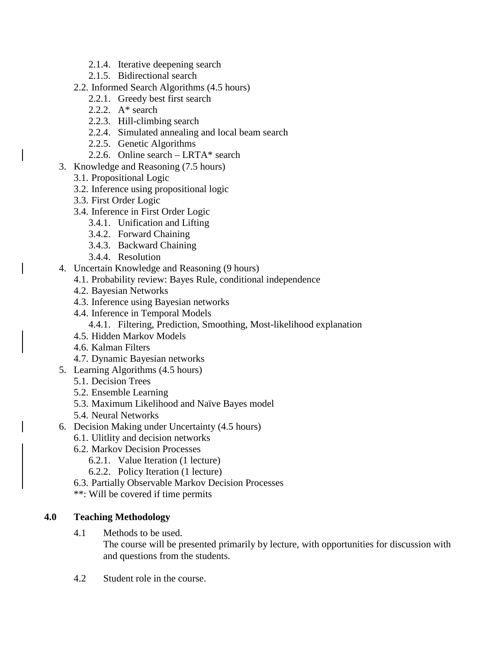- 2.1.4. Iterative deepening search
- 2.1.5. Bidirectional search
- 2.2. Informed Search Algorithms (4.5 hours)
	- 2.2.1. Greedy best first search
	- 2.2.2.  $A^*$  search
	- 2.2.3. Hill-climbing search
	- 2.2.4. Simulated annealing and local beam search
	- 2.2.5. Genetic Algorithms
	- 2.2.6. Online search LRTA\* search
- 3. Knowledge and Reasoning (7.5 hours)
	- 3.1. Propositional Logic
	- 3.2. Inference using propositional logic
	- 3.3. First Order Logic
	- 3.4. Inference in First Order Logic
		- 3.4.1. Unification and Lifting
		- 3.4.2. Forward Chaining
		- 3.4.3. Backward Chaining
		- 3.4.4. Resolution
- 4. Uncertain Knowledge and Reasoning (9 hours)
	- 4.1. Probability review: Bayes Rule, conditional independence
		- 4.2. Bayesian Networks
		- 4.3. Inference using Bayesian networks
		- 4.4. Inference in Temporal Models
			- 4.4.1. Filtering, Prediction, Smoothing, Most-likelihood explanation
		- 4.5. Hidden Markov Models
		- 4.6. Kalman Filters
	- 4.7. Dynamic Bayesian networks
- 5. Learning Algorithms (4.5 hours)
	- 5.1. Decision Trees
	- 5.2. Ensemble Learning
	- 5.3. Maximum Likelihood and Naïve Bayes model
	- 5.4. Neural Networks
- 6. Decision Making under Uncertainty (4.5 hours)
	- 6.1. Ulitlity and decision networks
	- 6.2. Markov Decision Processes
		- 6.2.1. Value Iteration (1 lecture)
		- 6.2.2. Policy Iteration (1 lecture)
	- 6.3. Partially Observable Markov Decision Processes
	- \*\*: Will be covered if time permits

## **4.0 Teaching Methodology**

4.1 Methods to be used.

The course will be presented primarily by lecture, with opportunities for discussion with and questions from the students.

4.2 Student role in the course.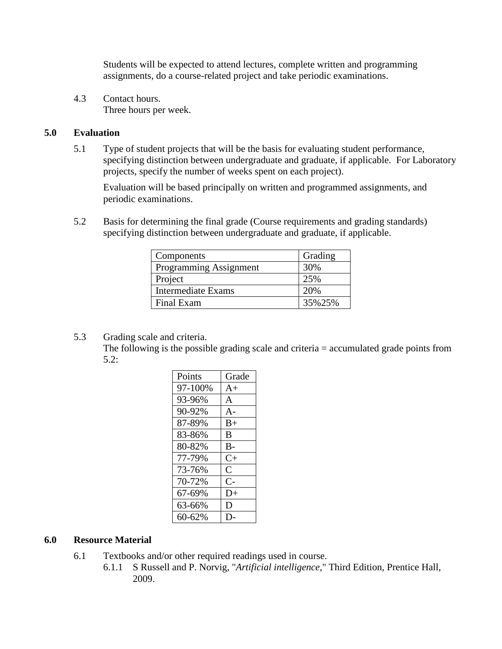Students will be expected to attend lectures, complete written and programming assignments, do a course-related project and take periodic examinations.

4.3 Contact hours. Three hours per week.

## **5.0 Evaluation**

5.1 Type of student projects that will be the basis for evaluating student performance, specifying distinction between undergraduate and graduate, if applicable. For Laboratory projects, specify the number of weeks spent on each project).

Evaluation will be based principally on written and programmed assignments, and periodic examinations.

5.2 Basis for determining the final grade (Course requirements and grading standards) specifying distinction between undergraduate and graduate, if applicable.

| Components                | Grading |
|---------------------------|---------|
| Programming Assignment    | 30%     |
| Project                   | 25%     |
| <b>Intermediate Exams</b> | 20%     |
| Final Exam                | 35%25%  |

5.3 Grading scale and criteria.

The following is the possible grading scale and criteria = accumulated grade points from 5.2:

| Points  | Grade          |
|---------|----------------|
| 97-100% | $A+$           |
| 93-96%  | $\mathsf{A}$   |
| 90-92%  | $A -$          |
| 87-89%  | $B+$           |
| 83-86%  | B              |
| 80-82%  | $B-$           |
| 77-79%  | $C+$           |
| 73-76%  | $\overline{C}$ |
| 70-72%  | $C-$           |
| 67-69%  | $D+$           |
| 63-66%  | D              |
| 60-62%  |                |

### **6.0 Resource Material**

- 6.1 Textbooks and/or other required readings used in course.
	- 6.1.1 S Russell and P. Norvig, "*Artificial intelligence,*" Third Edition, Prentice Hall, 2009.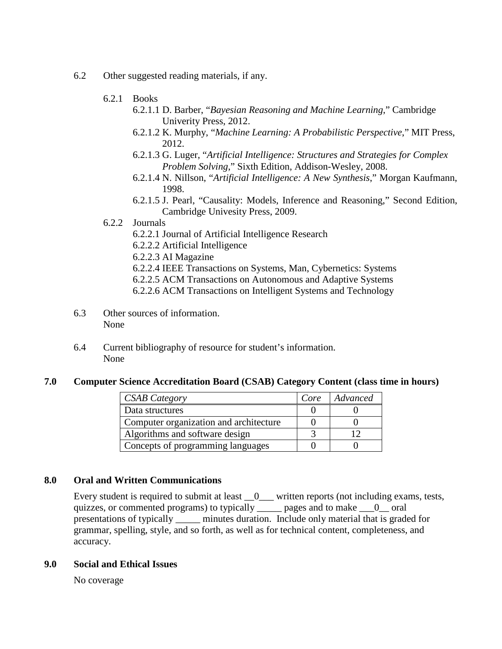- 6.2 Other suggested reading materials, if any.
	- 6.2.1 Books
		- 6.2.1.1 D. Barber, "*Bayesian Reasoning and Machine Learning*," Cambridge Univerity Press, 2012.
		- 6.2.1.2 K. Murphy, "*Machine Learning: A Probabilistic Perspective*," MIT Press, 2012.
		- 6.2.1.3 G. Luger, "*Artificial Intelligence: Structures and Strategies for Complex Problem Solving*," Sixth Edition, Addison-Wesley, 2008.
		- 6.2.1.4 N. Nillson, "*Artificial Intelligence: A New Synthesis*," Morgan Kaufmann, 1998.
		- 6.2.1.5 J. Pearl, "Causality: Models, Inference and Reasoning," Second Edition, Cambridge Univesity Press, 2009.

### 6.2.2 Journals

- 6.2.2.1 Journal of Artificial Intelligence Research
- 6.2.2.2 Artificial Intelligence
- 6.2.2.3 AI Magazine
- 6.2.2.4 IEEE Transactions on Systems, Man, Cybernetics: Systems
- 6.2.2.5 ACM Transactions on Autonomous and Adaptive Systems
- 6.2.2.6 ACM Transactions on Intelligent Systems and Technology
- 6.3 Other sources of information. None
- 6.4 Current bibliography of resource for student's information. None

#### **7.0 Computer Science Accreditation Board (CSAB) Category Content (class time in hours)**

| <b>CSAB Category</b>                   | Core | Advanced |
|----------------------------------------|------|----------|
| Data structures                        |      |          |
| Computer organization and architecture |      |          |
| Algorithms and software design         |      |          |
| Concepts of programming languages      |      |          |

### **8.0 Oral and Written Communications**

Every student is required to submit at least  $\overline{\phantom{a}}0$  written reports (not including exams, tests, quizzes, or commented programs) to typically \_\_\_\_\_ pages and to make \_\_\_0\_\_ oral presentations of typically \_\_\_\_\_ minutes duration. Include only material that is graded for grammar, spelling, style, and so forth, as well as for technical content, completeness, and accuracy.

### **9.0 Social and Ethical Issues**

No coverage